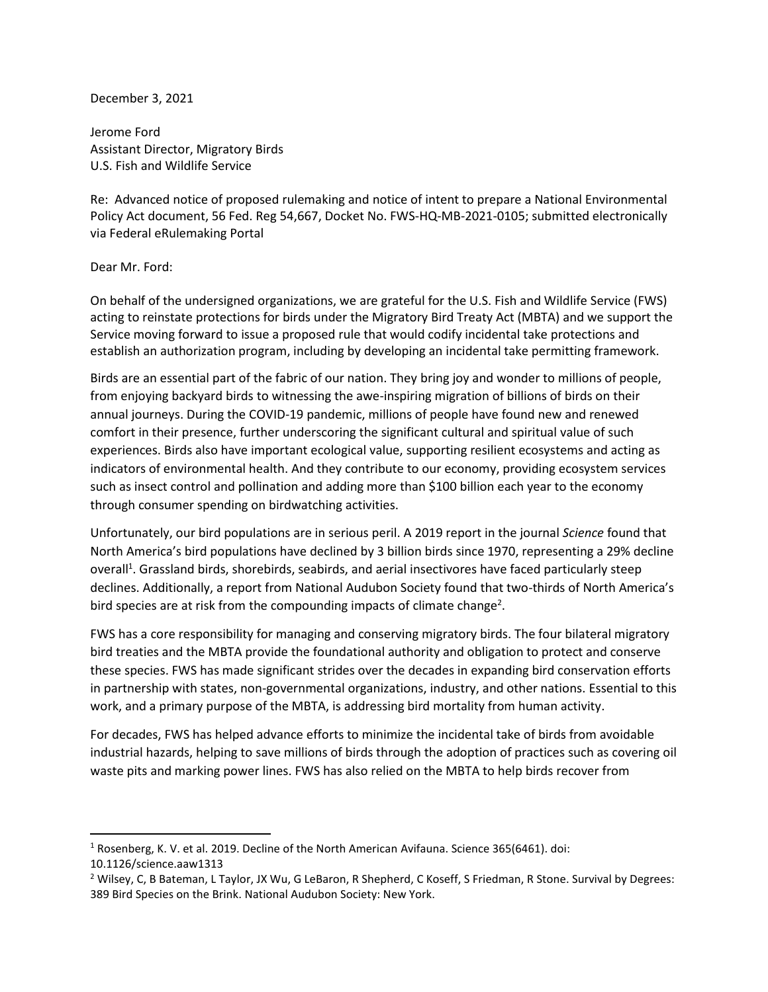December 3, 2021

Jerome Ford Assistant Director, Migratory Birds U.S. Fish and Wildlife Service

Re: Advanced notice of proposed rulemaking and notice of intent to prepare a National Environmental Policy Act document, 56 Fed. Reg 54,667, Docket No. FWS-HQ-MB-2021-0105; submitted electronically via Federal eRulemaking Portal

## Dear Mr. Ford:

On behalf of the undersigned organizations, we are grateful for the U.S. Fish and Wildlife Service (FWS) acting to reinstate protections for birds under the Migratory Bird Treaty Act (MBTA) and we support the Service moving forward to issue a proposed rule that would codify incidental take protections and establish an authorization program, including by developing an incidental take permitting framework.

Birds are an essential part of the fabric of our nation. They bring joy and wonder to millions of people, from enjoying backyard birds to witnessing the awe-inspiring migration of billions of birds on their annual journeys. During the COVID-19 pandemic, millions of people have found new and renewed comfort in their presence, further underscoring the significant cultural and spiritual value of such experiences. Birds also have important ecological value, supporting resilient ecosystems and acting as indicators of environmental health. And they contribute to our economy, providing ecosystem services such as insect control and pollination and adding more than \$100 billion each year to the economy through consumer spending on birdwatching activities.

Unfortunately, our bird populations are in serious peril. A 2019 report in the journal *Science* found that North America's bird populations have declined by 3 billion birds since 1970, representing a 29% decline overall<sup>1</sup>. Grassland birds, shorebirds, seabirds, and aerial insectivores have faced particularly steep declines. Additionally, a report from National Audubon Society found that two-thirds of North America's bird species are at risk from the compounding impacts of climate change<sup>2</sup>.

FWS has a core responsibility for managing and conserving migratory birds. The four bilateral migratory bird treaties and the MBTA provide the foundational authority and obligation to protect and conserve these species. FWS has made significant strides over the decades in expanding bird conservation efforts in partnership with states, non-governmental organizations, industry, and other nations. Essential to this work, and a primary purpose of the MBTA, is addressing bird mortality from human activity.

For decades, FWS has helped advance efforts to minimize the incidental take of birds from avoidable industrial hazards, helping to save millions of birds through the adoption of practices such as covering oil waste pits and marking power lines. FWS has also relied on the MBTA to help birds recover from

 $\overline{a}$ 

<sup>1</sup> Rosenberg, K. V. et al. 2019. Decline of the North American Avifauna. Science 365(6461). doi:

<sup>10.1126/</sup>science.aaw1313

<sup>2</sup> Wilsey, C, B Bateman, L Taylor, JX Wu, G LeBaron, R Shepherd, C Koseff, S Friedman, R Stone. Survival by Degrees: 389 Bird Species on the Brink. National Audubon Society: New York.